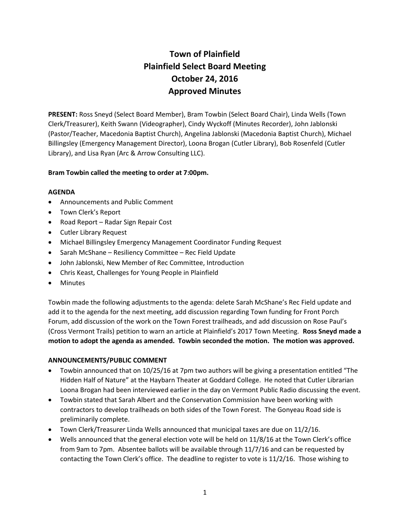# Town of Plainfield Plainfield Select Board Meeting October 24, 2016 Approved Minutes

PRESENT: Ross Sneyd (Select Board Member), Bram Towbin (Select Board Chair), Linda Wells (Town Clerk/Treasurer), Keith Swann (Videographer), Cindy Wyckoff (Minutes Recorder), John Jablonski (Pastor/Teacher, Macedonia Baptist Church), Angelina Jablonski (Macedonia Baptist Church), Michael Billingsley (Emergency Management Director), Loona Brogan (Cutler Library), Bob Rosenfeld (Cutler Library), and Lisa Ryan (Arc & Arrow Consulting LLC).

# Bram Towbin called the meeting to order at 7:00pm.

# AGENDA

- Announcements and Public Comment
- Town Clerk's Report
- Road Report Radar Sign Repair Cost
- Cutler Library Request
- Michael Billingsley Emergency Management Coordinator Funding Request
- Sarah McShane Resiliency Committee Rec Field Update
- John Jablonski, New Member of Rec Committee, Introduction
- Chris Keast, Challenges for Young People in Plainfield
- Minutes

Towbin made the following adjustments to the agenda: delete Sarah McShane's Rec Field update and add it to the agenda for the next meeting, add discussion regarding Town funding for Front Porch Forum, add discussion of the work on the Town Forest trailheads, and add discussion on Rose Paul's (Cross Vermont Trails) petition to warn an article at Plainfield's 2017 Town Meeting. Ross Sneyd made a motion to adopt the agenda as amended. Towbin seconded the motion. The motion was approved.

# ANNOUNCEMENTS/PUBLIC COMMENT

- Towbin announced that on 10/25/16 at 7pm two authors will be giving a presentation entitled "The Hidden Half of Nature" at the Haybarn Theater at Goddard College. He noted that Cutler Librarian Loona Brogan had been interviewed earlier in the day on Vermont Public Radio discussing the event.
- Towbin stated that Sarah Albert and the Conservation Commission have been working with contractors to develop trailheads on both sides of the Town Forest. The Gonyeau Road side is preliminarily complete.
- Town Clerk/Treasurer Linda Wells announced that municipal taxes are due on 11/2/16.
- Wells announced that the general election vote will be held on 11/8/16 at the Town Clerk's office from 9am to 7pm. Absentee ballots will be available through 11/7/16 and can be requested by contacting the Town Clerk's office. The deadline to register to vote is 11/2/16. Those wishing to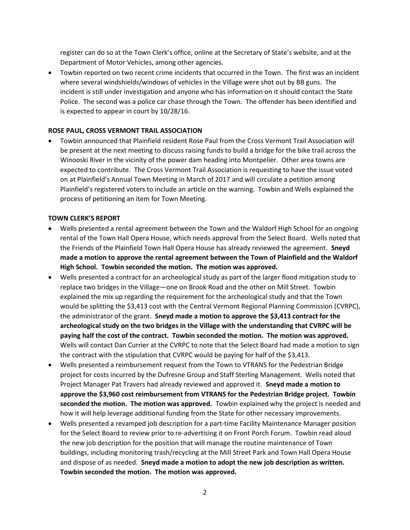register can do so at the Town Clerk's office, online at the Secretary of State's website, and at the Department of Motor Vehicles, among other agencies.

 Towbin reported on two recent crime incidents that occurred in the Town. The first was an incident where several windshields/windows of vehicles in the Village were shot out by BB guns. The incident is still under investigation and anyone who has information on it should contact the State Police. The second was a police car chase through the Town. The offender has been identified and is expected to appear in court by 10/28/16.

# ROSE PAUL, CROSS VERMONT TRAIL ASSOCIATION

 Towbin announced that Plainfield resident Rose Paul from the Cross Vermont Trail Association will be present at the next meeting to discuss raising funds to build a bridge for the bike trail across the Winooski River in the vicinity of the power dam heading into Montpelier. Other area towns are expected to contribute. The Cross Vermont Trail Association is requesting to have the issue voted on at Plainfield's Annual Town Meeting in March of 2017 and will circulate a petition among Plainfield's registered voters to include an article on the warning. Towbin and Wells explained the process of petitioning an item for Town Meeting.

# TOWN CLERK'S REPORT

- Wells presented a rental agreement between the Town and the Waldorf High School for an ongoing rental of the Town Hall Opera House, which needs approval from the Select Board. Wells noted that the Friends of the Plainfield Town Hall Opera House has already reviewed the agreement. Sneyd made a motion to approve the rental agreement between the Town of Plainfield and the Waldorf High School. Towbin seconded the motion. The motion was approved.
- Wells presented a contract for an archeological study as part of the larger flood mitigation study to replace two bridges in the Village—one on Brook Road and the other on Mill Street. Towbin explained the mix up regarding the requirement for the archeological study and that the Town would be splitting the \$3,413 cost with the Central Vermont Regional Planning Commission (CVRPC), the administrator of the grant. Sneyd made a motion to approve the \$3,413 contract for the archeological study on the two bridges in the Village with the understanding that CVRPC will be paying half the cost of the contract. Towbin seconded the motion. The motion was approved. Wells will contact Dan Currier at the CVRPC to note that the Select Board had made a motion to sign the contract with the stipulation that CVRPC would be paying for half of the \$3,413.
- Wells presented a reimbursement request from the Town to VTRANS for the Pedestrian Bridge project for costs incurred by the Dufresne Group and Staff Sterling Management. Wells noted that Project Manager Pat Travers had already reviewed and approved it. Sneyd made a motion to approve the \$3,960 cost reimbursement from VTRANS for the Pedestrian Bridge project. Towbin seconded the motion. The motion was approved. Towbin explained why the project is needed and how it will help leverage additional funding from the State for other necessary improvements.
- Wells presented a revamped job description for a part-time Facility Maintenance Manager position for the Select Board to review prior to re-advertising it on Front Porch Forum. Towbin read aloud the new job description for the position that will manage the routine maintenance of Town buildings, including monitoring trash/recycling at the Mill Street Park and Town Hall Opera House and dispose of as needed. Sneyd made a motion to adopt the new job description as written. Towbin seconded the motion. The motion was approved.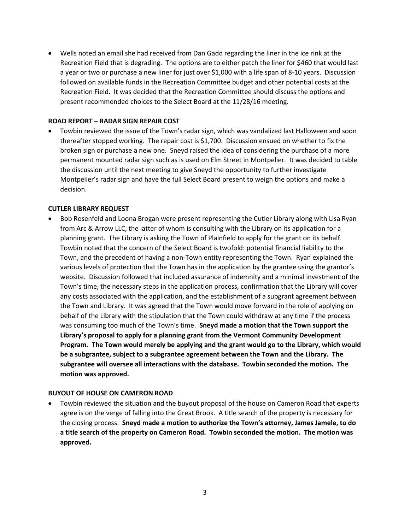Wells noted an email she had received from Dan Gadd regarding the liner in the ice rink at the Recreation Field that is degrading. The options are to either patch the liner for \$460 that would last a year or two or purchase a new liner for just over \$1,000 with a life span of 8-10 years. Discussion followed on available funds in the Recreation Committee budget and other potential costs at the Recreation Field. It was decided that the Recreation Committee should discuss the options and present recommended choices to the Select Board at the 11/28/16 meeting.

## ROAD REPORT – RADAR SIGN REPAIR COST

 Towbin reviewed the issue of the Town's radar sign, which was vandalized last Halloween and soon thereafter stopped working. The repair cost is \$1,700. Discussion ensued on whether to fix the broken sign or purchase a new one. Sneyd raised the idea of considering the purchase of a more permanent mounted radar sign such as is used on Elm Street in Montpelier. It was decided to table the discussion until the next meeting to give Sneyd the opportunity to further investigate Montpelier's radar sign and have the full Select Board present to weigh the options and make a decision.

## CUTLER LIBRARY REQUEST

 Bob Rosenfeld and Loona Brogan were present representing the Cutler Library along with Lisa Ryan from Arc & Arrow LLC, the latter of whom is consulting with the Library on its application for a planning grant. The Library is asking the Town of Plainfield to apply for the grant on its behalf. Towbin noted that the concern of the Select Board is twofold: potential financial liability to the Town, and the precedent of having a non-Town entity representing the Town. Ryan explained the various levels of protection that the Town has in the application by the grantee using the grantor's website. Discussion followed that included assurance of indemnity and a minimal investment of the Town's time, the necessary steps in the application process, confirmation that the Library will cover any costs associated with the application, and the establishment of a subgrant agreement between the Town and Library. It was agreed that the Town would move forward in the role of applying on behalf of the Library with the stipulation that the Town could withdraw at any time if the process was consuming too much of the Town's time. Sneyd made a motion that the Town support the Library's proposal to apply for a planning grant from the Vermont Community Development Program. The Town would merely be applying and the grant would go to the Library, which would be a subgrantee, subject to a subgrantee agreement between the Town and the Library. The subgrantee will oversee all interactions with the database. Towbin seconded the motion. The motion was approved.

#### BUYOUT OF HOUSE ON CAMERON ROAD

 Towbin reviewed the situation and the buyout proposal of the house on Cameron Road that experts agree is on the verge of falling into the Great Brook. A title search of the property is necessary for the closing process. Sneyd made a motion to authorize the Town's attorney, James Jamele, to do a title search of the property on Cameron Road. Towbin seconded the motion. The motion was approved.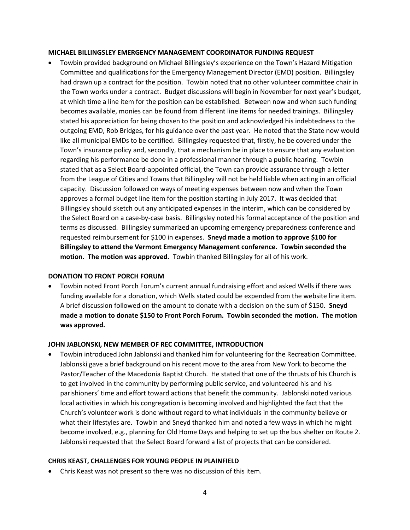## MICHAEL BILLINGSLEY EMERGENCY MANAGEMENT COORDINATOR FUNDING REQUEST

 Towbin provided background on Michael Billingsley's experience on the Town's Hazard Mitigation Committee and qualifications for the Emergency Management Director (EMD) position. Billingsley had drawn up a contract for the position. Towbin noted that no other volunteer committee chair in the Town works under a contract. Budget discussions will begin in November for next year's budget, at which time a line item for the position can be established. Between now and when such funding becomes available, monies can be found from different line items for needed trainings. Billingsley stated his appreciation for being chosen to the position and acknowledged his indebtedness to the outgoing EMD, Rob Bridges, for his guidance over the past year. He noted that the State now would like all municipal EMDs to be certified. Billingsley requested that, firstly, he be covered under the Town's insurance policy and, secondly, that a mechanism be in place to ensure that any evaluation regarding his performance be done in a professional manner through a public hearing. Towbin stated that as a Select Board-appointed official, the Town can provide assurance through a letter from the League of Cities and Towns that Billingsley will not be held liable when acting in an official capacity. Discussion followed on ways of meeting expenses between now and when the Town approves a formal budget line item for the position starting in July 2017. It was decided that Billingsley should sketch out any anticipated expenses in the interim, which can be considered by the Select Board on a case-by-case basis. Billingsley noted his formal acceptance of the position and terms as discussed. Billingsley summarized an upcoming emergency preparedness conference and requested reimbursement for \$100 in expenses. Sneyd made a motion to approve \$100 for Billingsley to attend the Vermont Emergency Management conference. Towbin seconded the motion. The motion was approved. Towbin thanked Billingsley for all of his work.

# DONATION TO FRONT PORCH FORUM

 Towbin noted Front Porch Forum's current annual fundraising effort and asked Wells if there was funding available for a donation, which Wells stated could be expended from the website line item. A brief discussion followed on the amount to donate with a decision on the sum of \$150. Sneyd made a motion to donate \$150 to Front Porch Forum. Towbin seconded the motion. The motion was approved.

# JOHN JABLONSKI, NEW MEMBER OF REC COMMITTEE, INTRODUCTION

 Towbin introduced John Jablonski and thanked him for volunteering for the Recreation Committee. Jablonski gave a brief background on his recent move to the area from New York to become the Pastor/Teacher of the Macedonia Baptist Church. He stated that one of the thrusts of his Church is to get involved in the community by performing public service, and volunteered his and his parishioners' time and effort toward actions that benefit the community. Jablonski noted various local activities in which his congregation is becoming involved and highlighted the fact that the Church's volunteer work is done without regard to what individuals in the community believe or what their lifestyles are. Towbin and Sneyd thanked him and noted a few ways in which he might become involved, e.g., planning for Old Home Days and helping to set up the bus shelter on Route 2. Jablonski requested that the Select Board forward a list of projects that can be considered.

# CHRIS KEAST, CHALLENGES FOR YOUNG PEOPLE IN PLAINFIELD

Chris Keast was not present so there was no discussion of this item.